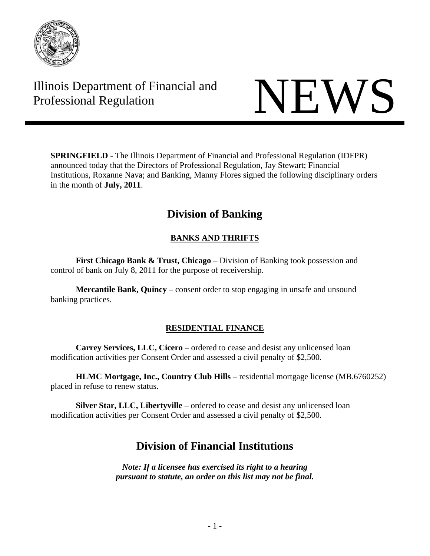

# Illinois Department of Financial and Illinois Department of Financial and<br>Professional Regulation



**SPRINGFIELD** - The Illinois Department of Financial and Professional Regulation (IDFPR) announced today that the Directors of Professional Regulation, Jay Stewart; Financial Institutions, Roxanne Nava; and Banking, Manny Flores signed the following disciplinary orders in the month of **July, 2011**.

# **Division of Banking**

# **BANKS AND THRIFTS**

**First Chicago Bank & Trust, Chicago** – Division of Banking took possession and control of bank on July 8, 2011 for the purpose of receivership.

**Mercantile Bank, Quincy** – consent order to stop engaging in unsafe and unsound banking practices.

# **RESIDENTIAL FINANCE**

**Carrey Services, LLC, Cicero** – ordered to cease and desist any unlicensed loan modification activities per Consent Order and assessed a civil penalty of \$2,500.

**HLMC Mortgage, Inc., Country Club Hills** – residential mortgage license (MB.6760252) placed in refuse to renew status.

**Silver Star, LLC, Libertyville** – ordered to cease and desist any unlicensed loan modification activities per Consent Order and assessed a civil penalty of \$2,500.

# **Division of Financial Institutions**

*Note: If a licensee has exercised its right to a hearing pursuant to statute, an order on this list may not be final.*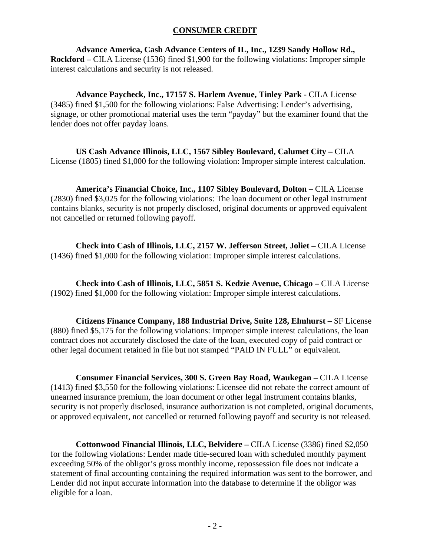#### **CONSUMER CREDIT**

**Advance America, Cash Advance Centers of IL, Inc., 1239 Sandy Hollow Rd., Rockford –** CILA License (1536) fined \$1,900 for the following violations: Improper simple interest calculations and security is not released.

**Advance Paycheck, Inc., 17157 S. Harlem Avenue, Tinley Park** - CILA License (3485) fined \$1,500 for the following violations: False Advertising: Lender's advertising, signage, or other promotional material uses the term "payday" but the examiner found that the lender does not offer payday loans.

US Cash Advance Illinois, LLC, 1567 Sibley Boulevard, Calumet City - CILA License (1805) fined \$1,000 for the following violation: Improper simple interest calculation.

**America's Financial Choice, Inc., 1107 Sibley Boulevard, Dolton –** CILA License (2830) fined \$3,025 for the following violations: The loan document or other legal instrument contains blanks, security is not properly disclosed, original documents or approved equivalent not cancelled or returned following payoff.

**Check into Cash of Illinois, LLC, 2157 W. Jefferson Street, Joliet –** CILA License (1436) fined \$1,000 for the following violation: Improper simple interest calculations.

**Check into Cash of Illinois, LLC, 5851 S. Kedzie Avenue, Chicago –** CILA License (1902) fined \$1,000 for the following violation: Improper simple interest calculations.

**Citizens Finance Company, 188 Industrial Drive, Suite 128, Elmhurst –** SF License (880) fined \$5,175 for the following violations: Improper simple interest calculations, the loan contract does not accurately disclosed the date of the loan, executed copy of paid contract or other legal document retained in file but not stamped "PAID IN FULL" or equivalent.

**Consumer Financial Services, 300 S. Green Bay Road, Waukegan –** CILA License (1413) fined \$3,550 for the following violations: Licensee did not rebate the correct amount of unearned insurance premium, the loan document or other legal instrument contains blanks, security is not properly disclosed, insurance authorization is not completed, original documents, or approved equivalent, not cancelled or returned following payoff and security is not released.

**Cottonwood Financial Illinois, LLC, Belvidere –** CILA License (3386) fined \$2,050 for the following violations: Lender made title-secured loan with scheduled monthly payment exceeding 50% of the obligor's gross monthly income, repossession file does not indicate a statement of final accounting containing the required information was sent to the borrower, and Lender did not input accurate information into the database to determine if the obligor was eligible for a loan.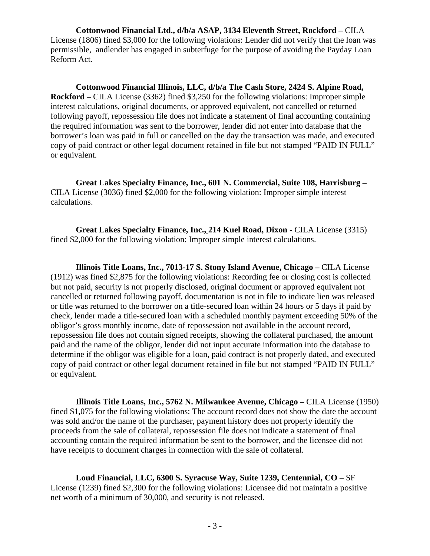**Cottonwood Financial Ltd., d/b/a ASAP, 3134 Eleventh Street, Rockford –** CILA License (1806) fined \$3,000 for the following violations: Lender did not verify that the loan was permissible, andlender has engaged in subterfuge for the purpose of avoiding the Payday Loan Reform Act.

**Cottonwood Financial Illinois, LLC, d/b/a The Cash Store, 2424 S. Alpine Road, Rockford –** CILA License (3362) fined \$3,250 for the following violations: Improper simple interest calculations, original documents, or approved equivalent, not cancelled or returned following payoff, repossession file does not indicate a statement of final accounting containing the required information was sent to the borrower, lender did not enter into database that the borrower's loan was paid in full or cancelled on the day the transaction was made, and executed copy of paid contract or other legal document retained in file but not stamped "PAID IN FULL" or equivalent.

**Great Lakes Specialty Finance, Inc., 601 N. Commercial, Suite 108, Harrisburg –**  CILA License (3036) fined \$2,000 for the following violation: Improper simple interest calculations.

**Great Lakes Specialty Finance, Inc., 214 Kuel Road, Dixon - CILA License (3315)** fined \$2,000 for the following violation: Improper simple interest calculations.

**Illinois Title Loans, Inc., 7013-17 S. Stony Island Avenue, Chicago –** CILA License (1912) was fined \$2,875 for the following violations: Recording fee or closing cost is collected but not paid, security is not properly disclosed, original document or approved equivalent not cancelled or returned following payoff, documentation is not in file to indicate lien was released or title was returned to the borrower on a title-secured loan within 24 hours or 5 days if paid by check, lender made a title-secured loan with a scheduled monthly payment exceeding 50% of the obligor's gross monthly income, date of repossession not available in the account record, repossession file does not contain signed receipts, showing the collateral purchased, the amount paid and the name of the obligor, lender did not input accurate information into the database to determine if the obligor was eligible for a loan, paid contract is not properly dated, and executed copy of paid contract or other legal document retained in file but not stamped "PAID IN FULL" or equivalent.

**Illinois Title Loans, Inc., 5762 N. Milwaukee Avenue, Chicago – CILA License (1950)** fined \$1,075 for the following violations: The account record does not show the date the account was sold and/or the name of the purchaser, payment history does not properly identify the proceeds from the sale of collateral, repossession file does not indicate a statement of final accounting contain the required information be sent to the borrower, and the licensee did not have receipts to document charges in connection with the sale of collateral.

**Loud Financial, LLC, 6300 S. Syracuse Way, Suite 1239, Centennial, CO** – SF License (1239) fined \$2,300 for the following violations: Licensee did not maintain a positive net worth of a minimum of 30,000, and security is not released.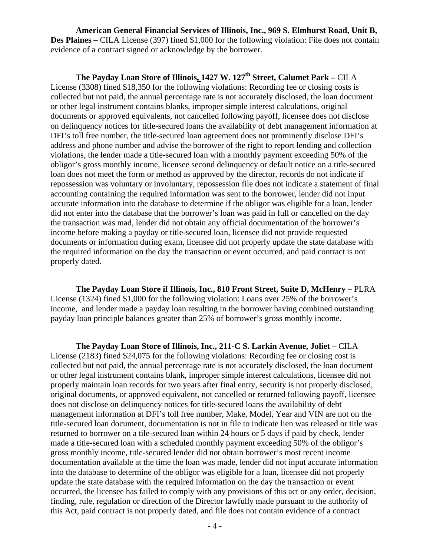**American General Financial Services of Illinois, Inc., 969 S. Elmhurst Road, Unit B, Des Plaines** – CILA License (397) fined \$1,000 for the following violation: File does not contain evidence of a contract signed or acknowledge by the borrower.

The Payday Loan Store of Illinois, 1427 W. 127<sup>th</sup> Street, Calumet Park – CILA License (3308) fined \$18,350 for the following violations: Recording fee or closing costs is collected but not paid, the annual percentage rate is not accurately disclosed, the loan document or other legal instrument contains blanks, improper simple interest calculations, original documents or approved equivalents, not cancelled following payoff, licensee does not disclose on delinquency notices for title-secured loans the availability of debt management information at DFI's toll free number, the title-secured loan agreement does not prominently disclose DFI's address and phone number and advise the borrower of the right to report lending and collection violations, the lender made a title-secured loan with a monthly payment exceeding 50% of the obligor's gross monthly income, licensee second delinquency or default notice on a title-secured loan does not meet the form or method as approved by the director, records do not indicate if repossession was voluntary or involuntary, repossession file does not indicate a statement of final accounting containing the required information was sent to the borrower, lender did not input accurate information into the database to determine if the obligor was eligible for a loan, lender did not enter into the database that the borrower's loan was paid in full or cancelled on the day the transaction was mad, lender did not obtain any official documentation of the borrower's income before making a payday or title-secured loan, licensee did not provide requested documents or information during exam, licensee did not properly update the state database with the required information on the day the transaction or event occurred, and paid contract is not properly dated.

**The Payday Loan Store if Illinois, Inc., 810 Front Street, Suite D, McHenry –** PLRA License (1324) fined \$1,000 for the following violation: Loans over 25% of the borrower's income, and lender made a payday loan resulting in the borrower having combined outstanding payday loan principle balances greater than 25% of borrower's gross monthly income.

**The Payday Loan Store of Illinois, Inc., 211-C S. Larkin Avenue, Joliet –** CILA License (2183) fined \$24,075 for the following violations: Recording fee or closing cost is collected but not paid, the annual percentage rate is not accurately disclosed, the loan document or other legal instrument contains blank, improper simple interest calculations, licensee did not properly maintain loan records for two years after final entry, security is not properly disclosed, original documents, or approved equivalent, not cancelled or returned following payoff, licensee does not disclose on delinquency notices for title-secured loans the availability of debt management information at DFI's toll free number, Make, Model, Year and VIN are not on the title-secured loan document, documentation is not in file to indicate lien was released or title was returned to borrower on a tile-secured loan within 24 hours or 5 days if paid by check, lender made a title-secured loan with a scheduled monthly payment exceeding 50% of the obligor's gross monthly income, title-secured lender did not obtain borrower's most recent income documentation available at the time the loan was made, lender did not input accurate information into the database to determine of the obligor was eligible for a loan, licensee did not properly update the state database with the required information on the day the transaction or event occurred, the licensee has failed to comply with any provisions of this act or any order, decision, finding, rule, regulation or direction of the Director lawfully made pursuant to the authority of this Act, paid contract is not properly dated, and file does not contain evidence of a contract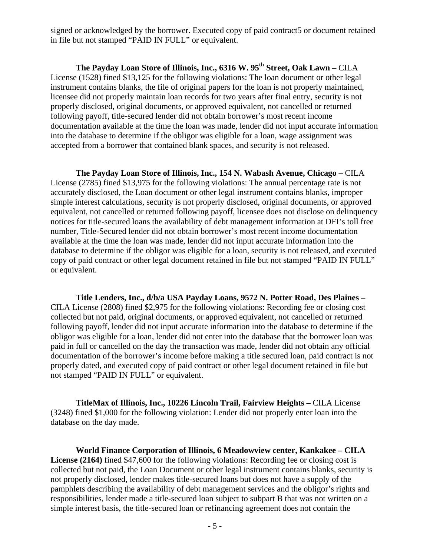signed or acknowledged by the borrower. Executed copy of paid contract5 or document retained in file but not stamped "PAID IN FULL" or equivalent.

The Payday Loan Store of Illinois, Inc., 6316 W. 95<sup>th</sup> Street, Oak Lawn – CILA License (1528) fined \$13,125 for the following violations: The loan document or other legal instrument contains blanks, the file of original papers for the loan is not properly maintained, licensee did not properly maintain loan records for two years after final entry, security is not properly disclosed, original documents, or approved equivalent, not cancelled or returned following payoff, title-secured lender did not obtain borrower's most recent income documentation available at the time the loan was made, lender did not input accurate information into the database to determine if the obligor was eligible for a loan, wage assignment was accepted from a borrower that contained blank spaces, and security is not released.

**The Payday Loan Store of Illinois, Inc., 154 N. Wabash Avenue, Chicago –** CILA License (2785) fined \$13,975 for the following violations: The annual percentage rate is not accurately disclosed, the Loan document or other legal instrument contains blanks, improper simple interest calculations, security is not properly disclosed, original documents, or approved equivalent, not cancelled or returned following payoff, licensee does not disclose on delinquency notices for title-secured loans the availability of debt management information at DFI's toll free number, Title-Secured lender did not obtain borrower's most recent income documentation available at the time the loan was made, lender did not input accurate information into the database to determine if the obligor was eligible for a loan, security is not released, and executed copy of paid contract or other legal document retained in file but not stamped "PAID IN FULL" or equivalent.

**Title Lenders, Inc., d/b/a USA Payday Loans, 9572 N. Potter Road, Des Plaines –**  CILA License (2808) fined \$2,975 for the following violations: Recording fee or closing cost collected but not paid, original documents, or approved equivalent, not cancelled or returned following payoff, lender did not input accurate information into the database to determine if the obligor was eligible for a loan, lender did not enter into the database that the borrower loan was paid in full or cancelled on the day the transaction was made, lender did not obtain any official documentation of the borrower's income before making a title secured loan, paid contract is not properly dated, and executed copy of paid contract or other legal document retained in file but not stamped "PAID IN FULL" or equivalent.

**TitleMax of Illinois, Inc., 10226 Lincoln Trail, Fairview Heights –** CILA License (3248) fined \$1,000 for the following violation: Lender did not properly enter loan into the database on the day made.

**World Finance Corporation of Illinois, 6 Meadowview center, Kankakee – CILA License (2164)** fined \$47,600 for the following violations: Recording fee or closing cost is collected but not paid, the Loan Document or other legal instrument contains blanks, security is not properly disclosed, lender makes title-secured loans but does not have a supply of the pamphlets describing the availability of debt management services and the obligor's rights and responsibilities, lender made a title-secured loan subject to subpart B that was not written on a simple interest basis, the title-secured loan or refinancing agreement does not contain the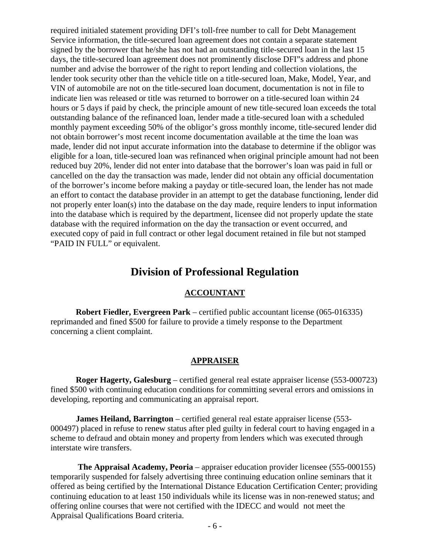required initialed statement providing DFI's toll-free number to call for Debt Management Service information, the title-secured loan agreement does not contain a separate statement signed by the borrower that he/she has not had an outstanding title-secured loan in the last 15 days, the title-secured loan agreement does not prominently disclose DFI"s address and phone number and advise the borrower of the right to report lending and collection violations, the lender took security other than the vehicle title on a title-secured loan, Make, Model, Year, and VIN of automobile are not on the title-secured loan document, documentation is not in file to indicate lien was released or title was returned to borrower on a title-secured loan within 24 hours or 5 days if paid by check, the principle amount of new title-secured loan exceeds the total outstanding balance of the refinanced loan, lender made a title-secured loan with a scheduled monthly payment exceeding 50% of the obligor's gross monthly income, title-secured lender did not obtain borrower's most recent income documentation available at the time the loan was made, lender did not input accurate information into the database to determine if the obligor was eligible for a loan, title-secured loan was refinanced when original principle amount had not been reduced buy 20%, lender did not enter into database that the borrower's loan was paid in full or cancelled on the day the transaction was made, lender did not obtain any official documentation of the borrower's income before making a payday or title-secured loan, the lender has not made an effort to contact the database provider in an attempt to get the database functioning, lender did not properly enter loan(s) into the database on the day made, require lenders to input information into the database which is required by the department, licensee did not properly update the state database with the required information on the day the transaction or event occurred, and executed copy of paid in full contract or other legal document retained in file but not stamped "PAID IN FULL" or equivalent.

# **Division of Professional Regulation**

#### **ACCOUNTANT**

 **Robert Fiedler, Evergreen Park** – certified public accountant license (065-016335) reprimanded and fined \$500 for failure to provide a timely response to the Department concerning a client complaint.

# **APPRAISER**

 **Roger Hagerty, Galesburg** – certified general real estate appraiser license (553-000723) fined \$500 with continuing education conditions for committing several errors and omissions in developing, reporting and communicating an appraisal report.

 **James Heiland, Barrington** – certified general real estate appraiser license (553- 000497) placed in refuse to renew status after pled guilty in federal court to having engaged in a scheme to defraud and obtain money and property from lenders which was executed through interstate wire transfers.

 **The Appraisal Academy, Peoria** – appraiser education provider licensee (555-000155) temporarily suspended for falsely advertising three continuing education online seminars that it offered as being certified by the International Distance Education Certification Center; providing continuing education to at least 150 individuals while its license was in non-renewed status; and offering online courses that were not certified with the IDECC and would not meet the Appraisal Qualifications Board criteria.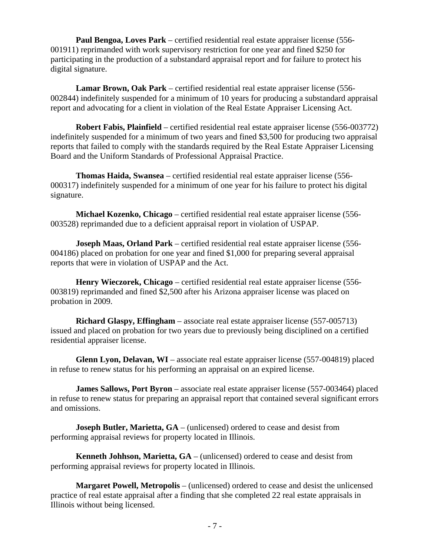**Paul Bengoa, Loves Park** – certified residential real estate appraiser license (556- 001911) reprimanded with work supervisory restriction for one year and fined \$250 for participating in the production of a substandard appraisal report and for failure to protect his digital signature.

 **Lamar Brown, Oak Park** – certified residential real estate appraiser license (556- 002844) indefinitely suspended for a minimum of 10 years for producing a substandard appraisal report and advocating for a client in violation of the Real Estate Appraiser Licensing Act.

 **Robert Fabis, Plainfield** – certified residential real estate appraiser license (556-003772) indefinitely suspended for a minimum of two years and fined \$3,500 for producing two appraisal reports that failed to comply with the standards required by the Real Estate Appraiser Licensing Board and the Uniform Standards of Professional Appraisal Practice.

 **Thomas Haida, Swansea** – certified residential real estate appraiser license (556- 000317) indefinitely suspended for a minimum of one year for his failure to protect his digital signature.

 **Michael Kozenko, Chicago** – certified residential real estate appraiser license (556- 003528) reprimanded due to a deficient appraisal report in violation of USPAP.

 **Joseph Maas, Orland Park** – certified residential real estate appraiser license (556- 004186) placed on probation for one year and fined \$1,000 for preparing several appraisal reports that were in violation of USPAP and the Act.

 **Henry Wieczorek, Chicago** – certified residential real estate appraiser license (556- 003819) reprimanded and fined \$2,500 after his Arizona appraiser license was placed on probation in 2009.

 **Richard Glaspy, Effingham** – associate real estate appraiser license (557-005713) issued and placed on probation for two years due to previously being disciplined on a certified residential appraiser license.

 **Glenn Lyon, Delavan, WI** – associate real estate appraiser license (557-004819) placed in refuse to renew status for his performing an appraisal on an expired license.

 **James Sallows, Port Byron** – associate real estate appraiser license (557-003464) placed in refuse to renew status for preparing an appraisal report that contained several significant errors and omissions.

**Joseph Butler, Marietta, GA** – (unlicensed) ordered to cease and desist from performing appraisal reviews for property located in Illinois.

 **Kenneth Johhson, Marietta, GA** – (unlicensed) ordered to cease and desist from performing appraisal reviews for property located in Illinois.

 **Margaret Powell, Metropolis** – (unlicensed) ordered to cease and desist the unlicensed practice of real estate appraisal after a finding that she completed 22 real estate appraisals in Illinois without being licensed.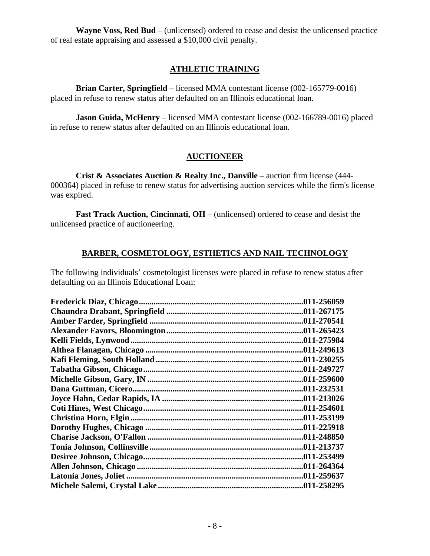**Wayne Voss, Red Bud** – (unlicensed) ordered to cease and desist the unlicensed practice of real estate appraising and assessed a \$10,000 civil penalty.

#### **ATHLETIC TRAINING**

 **Brian Carter, Springfield** – licensed MMA contestant license (002-165779-0016) placed in refuse to renew status after defaulted on an Illinois educational loan.

**Jason Guida, McHenry** – licensed MMA contestant license (002-166789-0016) placed in refuse to renew status after defaulted on an Illinois educational loan.

# **AUCTIONEER**

 **Crist & Associates Auction & Realty Inc., Danville** – auction firm license (444- 000364) placed in refuse to renew status for advertising auction services while the firm's license was expired.

 **Fast Track Auction, Cincinnati, OH** – (unlicensed) ordered to cease and desist the unlicensed practice of auctioneering.

# **BARBER, COSMETOLOGY, ESTHETICS AND NAIL TECHNOLOGY**

The following individuals' cosmetologist licenses were placed in refuse to renew status after defaulting on an Illinois Educational Loan:

| .011-256059 |
|-------------|
|             |
|             |
|             |
| .011-275984 |
|             |
| .011-230255 |
|             |
|             |
|             |
|             |
| .011-254601 |
| .011-253199 |
|             |
| .011-248850 |
|             |
|             |
|             |
| .011-259637 |
|             |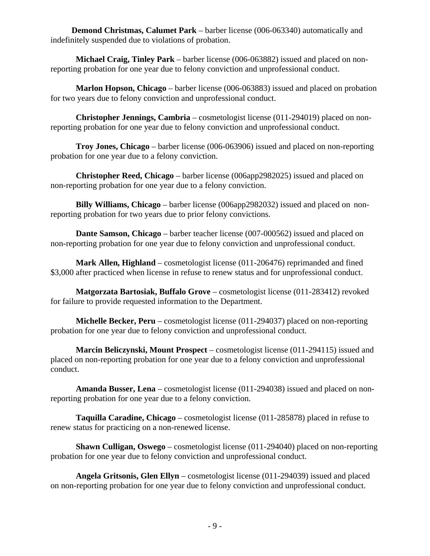**Demond Christmas, Calumet Park** – barber license (006-063340) automatically and indefinitely suspended due to violations of probation.

 **Michael Craig, Tinley Park** – barber license (006-063882) issued and placed on nonreporting probation for one year due to felony conviction and unprofessional conduct.

 **Marlon Hopson, Chicago** – barber license (006-063883) issued and placed on probation for two years due to felony conviction and unprofessional conduct.

 **Christopher Jennings, Cambria** – cosmetologist license (011-294019) placed on nonreporting probation for one year due to felony conviction and unprofessional conduct.

 **Troy Jones, Chicago** – barber license (006-063906) issued and placed on non-reporting probation for one year due to a felony conviction.

 **Christopher Reed, Chicago** – barber license (006app2982025) issued and placed on non-reporting probation for one year due to a felony conviction.

 **Billy Williams, Chicago** – barber license (006app2982032) issued and placed on nonreporting probation for two years due to prior felony convictions.

**Dante Samson, Chicago** – barber teacher license (007-000562) issued and placed on non-reporting probation for one year due to felony conviction and unprofessional conduct.

 **Mark Allen, Highland** – cosmetologist license (011-206476) reprimanded and fined \$3,000 after practiced when license in refuse to renew status and for unprofessional conduct.

 **Matgorzata Bartosiak, Buffalo Grove** – cosmetologist license (011-283412) revoked for failure to provide requested information to the Department.

 **Michelle Becker, Peru** – cosmetologist license (011-294037) placed on non-reporting probation for one year due to felony conviction and unprofessional conduct.

 **Marcin Beliczynski, Mount Prospect** – cosmetologist license (011-294115) issued and placed on non-reporting probation for one year due to a felony conviction and unprofessional conduct.

 **Amanda Busser, Lena** – cosmetologist license (011-294038) issued and placed on nonreporting probation for one year due to a felony conviction.

 **Taquilla Caradine, Chicago** – cosmetologist license (011-285878) placed in refuse to renew status for practicing on a non-renewed license.

 **Shawn Culligan, Oswego** – cosmetologist license (011-294040) placed on non-reporting probation for one year due to felony conviction and unprofessional conduct.

 **Angela Gritsonis, Glen Ellyn** – cosmetologist license (011-294039) issued and placed on non-reporting probation for one year due to felony conviction and unprofessional conduct.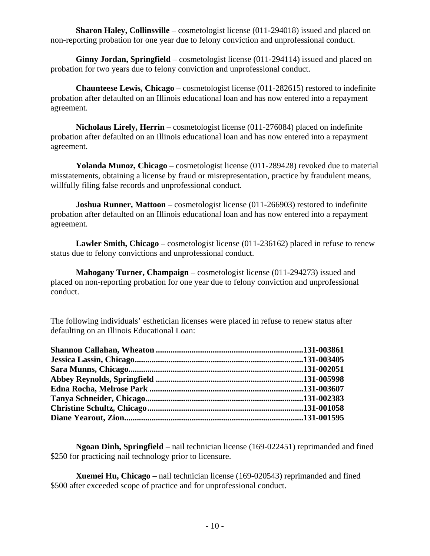**Sharon Haley, Collinsville** – cosmetologist license (011-294018) issued and placed on non-reporting probation for one year due to felony conviction and unprofessional conduct.

 **Ginny Jordan, Springfield** – cosmetologist license (011-294114) issued and placed on probation for two years due to felony conviction and unprofessional conduct.

 **Chaunteese Lewis, Chicago** – cosmetologist license (011-282615) restored to indefinite probation after defaulted on an Illinois educational loan and has now entered into a repayment agreement.

 **Nicholaus Lirely, Herrin** – cosmetologist license (011-276084) placed on indefinite probation after defaulted on an Illinois educational loan and has now entered into a repayment agreement.

 **Yolanda Munoz, Chicago** – cosmetologist license (011-289428) revoked due to material misstatements, obtaining a license by fraud or misrepresentation, practice by fraudulent means, willfully filing false records and unprofessional conduct.

**Joshua Runner, Mattoon** – cosmetologist license (011-266903) restored to indefinite probation after defaulted on an Illinois educational loan and has now entered into a repayment agreement.

 **Lawler Smith, Chicago** – cosmetologist license (011-236162) placed in refuse to renew status due to felony convictions and unprofessional conduct.

**Mahogany Turner, Champaign** – cosmetologist license (011-294273) issued and placed on non-reporting probation for one year due to felony conviction and unprofessional conduct.

The following individuals' esthetician licenses were placed in refuse to renew status after defaulting on an Illinois Educational Loan:

 **Ngoan Dinh, Springfield** – nail technician license (169-022451) reprimanded and fined \$250 for practicing nail technology prior to licensure.

 **Xuemei Hu, Chicago** – nail technician license (169-020543) reprimanded and fined \$500 after exceeded scope of practice and for unprofessional conduct.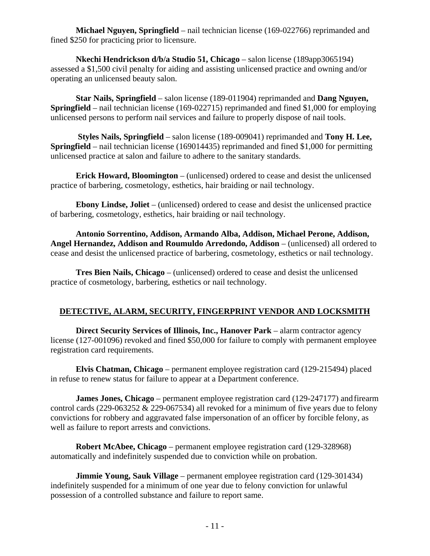**Michael Nguyen, Springfield** – nail technician license (169-022766) reprimanded and fined \$250 for practicing prior to licensure.

 **Nkechi Hendrickson d/b/a Studio 51, Chicago** – salon license (189app3065194) assessed a \$1,500 civil penalty for aiding and assisting unlicensed practice and owning and/or operating an unlicensed beauty salon.

 **Star Nails, Springfield** – salon license (189-011904) reprimanded and **Dang Nguyen, Springfield** – nail technician license (169-022715) reprimanded and fined \$1,000 for employing unlicensed persons to perform nail services and failure to properly dispose of nail tools.

 **Styles Nails, Springfield** – salon license (189-009041) reprimanded and **Tony H. Lee, Springfield** – nail technician license (169014435) reprimanded and fined \$1,000 for permitting unlicensed practice at salon and failure to adhere to the sanitary standards.

 **Erick Howard, Bloomington** – (unlicensed) ordered to cease and desist the unlicensed practice of barbering, cosmetology, esthetics, hair braiding or nail technology.

 **Ebony Lindse, Joliet** – (unlicensed) ordered to cease and desist the unlicensed practice of barbering, cosmetology, esthetics, hair braiding or nail technology.

 **Antonio Sorrentino, Addison, Armando Alba, Addison, Michael Perone, Addison, Angel Hernandez, Addison and Roumuldo Arredondo, Addison** – (unlicensed) all ordered to cease and desist the unlicensed practice of barbering, cosmetology, esthetics or nail technology.

 **Tres Bien Nails, Chicago** – (unlicensed) ordered to cease and desist the unlicensed practice of cosmetology, barbering, esthetics or nail technology.

# **DETECTIVE, ALARM, SECURITY, FINGERPRINT VENDOR AND LOCKSMITH**

 **Direct Security Services of Illinois, Inc., Hanover Park** – alarm contractor agency license (127-001096) revoked and fined \$50,000 for failure to comply with permanent employee registration card requirements.

 **Elvis Chatman, Chicago** – permanent employee registration card (129-215494) placed in refuse to renew status for failure to appear at a Department conference.

**James Jones, Chicago** – permanent employee registration card (129-247177) and firearm control cards (229-063252 & 229-067534) all revoked for a minimum of five years due to felony convictions for robbery and aggravated false impersonation of an officer by forcible felony, as well as failure to report arrests and convictions.

 **Robert McAbee, Chicago** – permanent employee registration card (129-328968) automatically and indefinitely suspended due to conviction while on probation.

 **Jimmie Young, Sauk Village** – permanent employee registration card (129-301434) indefinitely suspended for a minimum of one year due to felony conviction for unlawful possession of a controlled substance and failure to report same.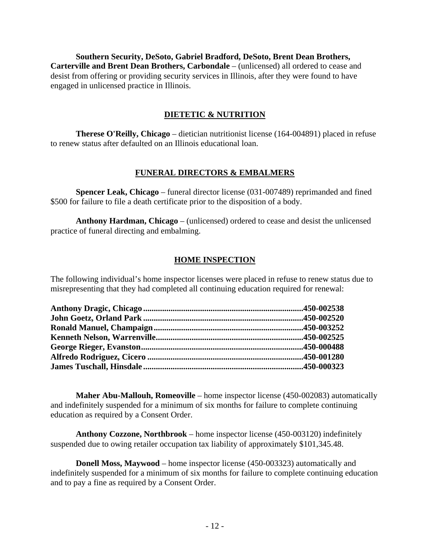**Southern Security, DeSoto, Gabriel Bradford, DeSoto, Brent Dean Brothers, Carterville and Brent Dean Brothers, Carbondale** – (unlicensed) all ordered to cease and desist from offering or providing security services in Illinois, after they were found to have engaged in unlicensed practice in Illinois.

#### **DIETETIC & NUTRITION**

 **Therese O'Reilly, Chicago** – dietician nutritionist license (164-004891) placed in refuse to renew status after defaulted on an Illinois educational loan.

#### **FUNERAL DIRECTORS & EMBALMERS**

 **Spencer Leak, Chicago** – funeral director license (031-007489) reprimanded and fined \$500 for failure to file a death certificate prior to the disposition of a body.

 **Anthony Hardman, Chicago** – (unlicensed) ordered to cease and desist the unlicensed practice of funeral directing and embalming.

#### **HOME INSPECTION**

The following individual's home inspector licenses were placed in refuse to renew status due to misrepresenting that they had completed all continuing education required for renewal:

 **Maher Abu-Mallouh, Romeoville** – home inspector license (450-002083) automatically and indefinitely suspended for a minimum of six months for failure to complete continuing education as required by a Consent Order.

 **Anthony Cozzone, Northbrook** – home inspector license (450-003120) indefinitely suspended due to owing retailer occupation tax liability of approximately \$101,345.48.

 **Donell Moss, Maywood** – home inspector license (450-003323) automatically and indefinitely suspended for a minimum of six months for failure to complete continuing education and to pay a fine as required by a Consent Order.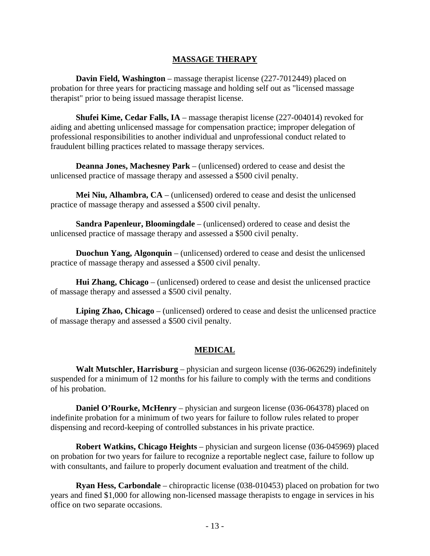#### **MASSAGE THERAPY**

**Davin Field, Washington** – massage therapist license (227-7012449) placed on probation for three years for practicing massage and holding self out as "licensed massage therapist" prior to being issued massage therapist license.

 **Shufei Kime, Cedar Falls, IA** – massage therapist license (227-004014) revoked for aiding and abetting unlicensed massage for compensation practice; improper delegation of professional responsibilities to another individual and unprofessional conduct related to fraudulent billing practices related to massage therapy services.

 **Deanna Jones, Machesney Park** – (unlicensed) ordered to cease and desist the unlicensed practice of massage therapy and assessed a \$500 civil penalty.

 **Mei Niu, Alhambra, CA** – (unlicensed) ordered to cease and desist the unlicensed practice of massage therapy and assessed a \$500 civil penalty.

 **Sandra Papenleur, Bloomingdale** – (unlicensed) ordered to cease and desist the unlicensed practice of massage therapy and assessed a \$500 civil penalty.

 **Duochun Yang, Algonquin** – (unlicensed) ordered to cease and desist the unlicensed practice of massage therapy and assessed a \$500 civil penalty.

 **Hui Zhang, Chicago** – (unlicensed) ordered to cease and desist the unlicensed practice of massage therapy and assessed a \$500 civil penalty.

 **Liping Zhao, Chicago** – (unlicensed) ordered to cease and desist the unlicensed practice of massage therapy and assessed a \$500 civil penalty.

#### **MEDICAL**

 **Walt Mutschler, Harrisburg** – physician and surgeon license (036-062629) indefinitely suspended for a minimum of 12 months for his failure to comply with the terms and conditions of his probation.

**Daniel O'Rourke, McHenry** – physician and surgeon license (036-064378) placed on indefinite probation for a minimum of two years for failure to follow rules related to proper dispensing and record-keeping of controlled substances in his private practice.

 **Robert Watkins, Chicago Heights** – physician and surgeon license (036-045969) placed on probation for two years for failure to recognize a reportable neglect case, failure to follow up with consultants, and failure to properly document evaluation and treatment of the child.

 **Ryan Hess, Carbondale** – chiropractic license (038-010453) placed on probation for two years and fined \$1,000 for allowing non-licensed massage therapists to engage in services in his office on two separate occasions.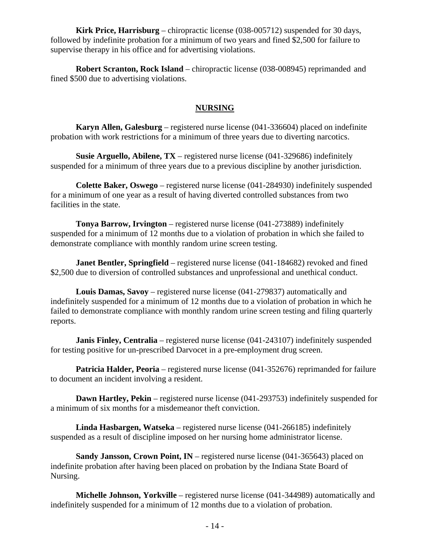**Kirk Price, Harrisburg** – chiropractic license (038-005712) suspended for 30 days, followed by indefinite probation for a minimum of two years and fined \$2,500 for failure to supervise therapy in his office and for advertising violations.

 **Robert Scranton, Rock Island** – chiropractic license (038-008945) reprimanded and fined \$500 due to advertising violations.

#### **NURSING**

 **Karyn Allen, Galesburg** – registered nurse license (041-336604) placed on indefinite probation with work restrictions for a minimum of three years due to diverting narcotics.

 **Susie Arguello, Abilene, TX** – registered nurse license (041-329686) indefinitely suspended for a minimum of three years due to a previous discipline by another jurisdiction.

 **Colette Baker, Oswego** – registered nurse license (041-284930) indefinitely suspended for a minimum of one year as a result of having diverted controlled substances from two facilities in the state.

 **Tonya Barrow, Irvington** – registered nurse license (041-273889) indefinitely suspended for a minimum of 12 months due to a violation of probation in which she failed to demonstrate compliance with monthly random urine screen testing.

**Janet Bentler, Springfield** – registered nurse license (041-184682) revoked and fined \$2,500 due to diversion of controlled substances and unprofessional and unethical conduct.

 **Louis Damas, Savoy** – registered nurse license (041-279837) automatically and indefinitely suspended for a minimum of 12 months due to a violation of probation in which he failed to demonstrate compliance with monthly random urine screen testing and filing quarterly reports.

**Janis Finley, Centralia** – registered nurse license (041-243107) indefinitely suspended for testing positive for un-prescribed Darvocet in a pre-employment drug screen.

**Patricia Halder, Peoria** – registered nurse license (041-352676) reprimanded for failure to document an incident involving a resident.

**Dawn Hartley, Pekin** – registered nurse license (041-293753) indefinitely suspended for a minimum of six months for a misdemeanor theft conviction.

 **Linda Hasbargen, Watseka** – registered nurse license (041-266185) indefinitely suspended as a result of discipline imposed on her nursing home administrator license.

 **Sandy Jansson, Crown Point, IN** – registered nurse license (041-365643) placed on indefinite probation after having been placed on probation by the Indiana State Board of Nursing.

 **Michelle Johnson, Yorkville** – registered nurse license (041-344989) automatically and indefinitely suspended for a minimum of 12 months due to a violation of probation.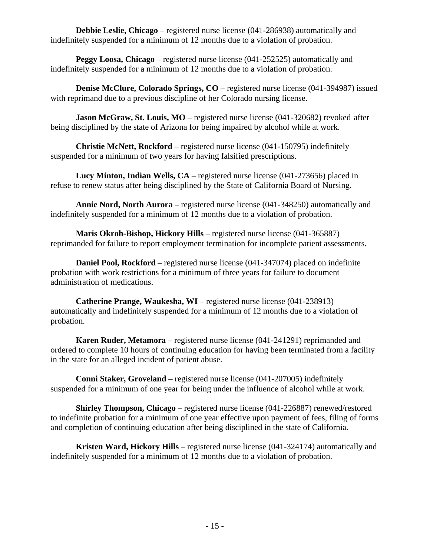**Debbie Leslie, Chicago** – registered nurse license (041-286938) automatically and indefinitely suspended for a minimum of 12 months due to a violation of probation.

 **Peggy Loosa, Chicago** – registered nurse license (041-252525) automatically and indefinitely suspended for a minimum of 12 months due to a violation of probation.

 **Denise McClure, Colorado Springs, CO** – registered nurse license (041-394987) issued with reprimand due to a previous discipline of her Colorado nursing license.

**Jason McGraw, St. Louis, MO** – registered nurse license (041-320682) revoked after being disciplined by the state of Arizona for being impaired by alcohol while at work.

 **Christie McNett, Rockford** – registered nurse license (041-150795) indefinitely suspended for a minimum of two years for having falsified prescriptions.

 **Lucy Minton, Indian Wells, CA** – registered nurse license (041-273656) placed in refuse to renew status after being disciplined by the State of California Board of Nursing.

 **Annie Nord, North Aurora** – registered nurse license (041-348250) automatically and indefinitely suspended for a minimum of 12 months due to a violation of probation.

 **Maris Okroh-Bishop, Hickory Hills** – registered nurse license (041-365887) reprimanded for failure to report employment termination for incomplete patient assessments.

 **Daniel Pool, Rockford** – registered nurse license (041-347074) placed on indefinite probation with work restrictions for a minimum of three years for failure to document administration of medications.

 **Catherine Prange, Waukesha, WI** – registered nurse license (041-238913) automatically and indefinitely suspended for a minimum of 12 months due to a violation of probation.

 **Karen Ruder, Metamora** – registered nurse license (041-241291) reprimanded and ordered to complete 10 hours of continuing education for having been terminated from a facility in the state for an alleged incident of patient abuse.

 **Conni Staker, Groveland** – registered nurse license (041-207005) indefinitely suspended for a minimum of one year for being under the influence of alcohol while at work.

 **Shirley Thompson, Chicago** – registered nurse license (041-226887) renewed/restored to indefinite probation for a minimum of one year effective upon payment of fees, filing of forms and completion of continuing education after being disciplined in the state of California.

 **Kristen Ward, Hickory Hills** – registered nurse license (041-324174) automatically and indefinitely suspended for a minimum of 12 months due to a violation of probation.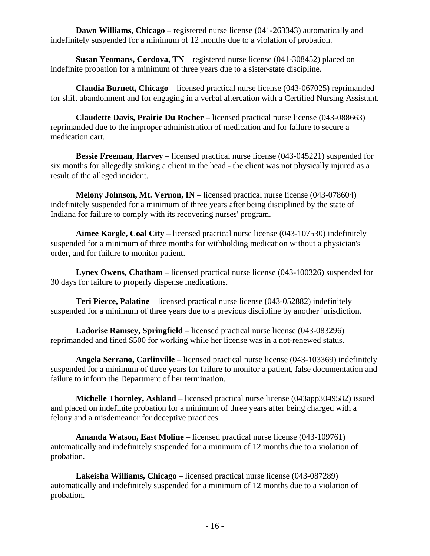**Dawn Williams, Chicago** – registered nurse license (041-263343) automatically and indefinitely suspended for a minimum of 12 months due to a violation of probation.

 **Susan Yeomans, Cordova, TN** – registered nurse license (041-308452) placed on indefinite probation for a minimum of three years due to a sister-state discipline.

 **Claudia Burnett, Chicago** – licensed practical nurse license (043-067025) reprimanded for shift abandonment and for engaging in a verbal altercation with a Certified Nursing Assistant.

 **Claudette Davis, Prairie Du Rocher** – licensed practical nurse license (043-088663) reprimanded due to the improper administration of medication and for failure to secure a medication cart.

**Bessie Freeman, Harvey** – licensed practical nurse license (043-045221) suspended for six months for allegedly striking a client in the head - the client was not physically injured as a result of the alleged incident.

**Melony Johnson, Mt. Vernon, IN** – licensed practical nurse license (043-078604) indefinitely suspended for a minimum of three years after being disciplined by the state of Indiana for failure to comply with its recovering nurses' program.

 **Aimee Kargle, Coal City** – licensed practical nurse license (043-107530) indefinitely suspended for a minimum of three months for withholding medication without a physician's order, and for failure to monitor patient.

**Lynex Owens, Chatham** – licensed practical nurse license (043-100326) suspended for 30 days for failure to properly dispense medications.

 **Teri Pierce, Palatine** – licensed practical nurse license (043-052882) indefinitely suspended for a minimum of three years due to a previous discipline by another jurisdiction.

 **Ladorise Ramsey, Springfield** – licensed practical nurse license (043-083296) reprimanded and fined \$500 for working while her license was in a not-renewed status.

 **Angela Serrano, Carlinville** – licensed practical nurse license (043-103369) indefinitely suspended for a minimum of three years for failure to monitor a patient, false documentation and failure to inform the Department of her termination.

 **Michelle Thornley, Ashland** – licensed practical nurse license (043app3049582) issued and placed on indefinite probation for a minimum of three years after being charged with a felony and a misdemeanor for deceptive practices.

 **Amanda Watson, East Moline** – licensed practical nurse license (043-109761) automatically and indefinitely suspended for a minimum of 12 months due to a violation of probation.

 **Lakeisha Williams, Chicago** – licensed practical nurse license (043-087289) automatically and indefinitely suspended for a minimum of 12 months due to a violation of probation.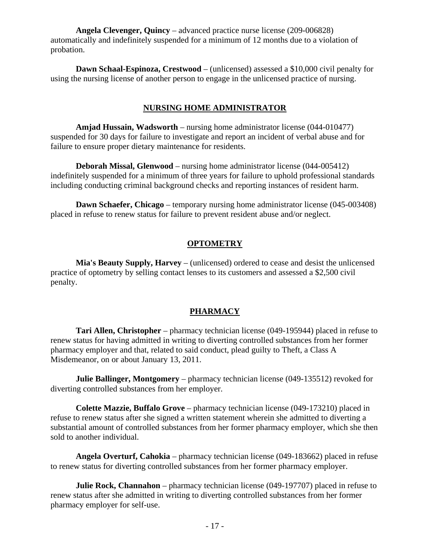**Angela Clevenger, Quincy** – advanced practice nurse license (209-006828) automatically and indefinitely suspended for a minimum of 12 months due to a violation of probation.

 **Dawn Schaal-Espinoza, Crestwood** – (unlicensed) assessed a \$10,000 civil penalty for using the nursing license of another person to engage in the unlicensed practice of nursing.

#### **NURSING HOME ADMINISTRATOR**

 **Amjad Hussain, Wadsworth** – nursing home administrator license (044-010477) suspended for 30 days for failure to investigate and report an incident of verbal abuse and for failure to ensure proper dietary maintenance for residents.

 **Deborah Missal, Glenwood** – nursing home administrator license (044-005412) indefinitely suspended for a minimum of three years for failure to uphold professional standards including conducting criminal background checks and reporting instances of resident harm.

 **Dawn Schaefer, Chicago** – temporary nursing home administrator license (045-003408) placed in refuse to renew status for failure to prevent resident abuse and/or neglect.

#### **OPTOMETRY**

 **Mia's Beauty Supply, Harvey** – (unlicensed) ordered to cease and desist the unlicensed practice of optometry by selling contact lenses to its customers and assessed a \$2,500 civil penalty.

#### **PHARMACY**

 **Tari Allen, Christopher** – pharmacy technician license (049-195944) placed in refuse to renew status for having admitted in writing to diverting controlled substances from her former pharmacy employer and that, related to said conduct, plead guilty to Theft, a Class A Misdemeanor, on or about January 13, 2011.

 **Julie Ballinger, Montgomery** – pharmacy technician license (049-135512) revoked for diverting controlled substances from her employer.

 **Colette Mazzie, Buffalo Grove** – pharmacy technician license (049-173210) placed in refuse to renew status after she signed a written statement wherein she admitted to diverting a substantial amount of controlled substances from her former pharmacy employer, which she then sold to another individual.

 **Angela Overturf, Cahokia** – pharmacy technician license (049-183662) placed in refuse to renew status for diverting controlled substances from her former pharmacy employer.

**Julie Rock, Channahon** – pharmacy technician license (049-197707) placed in refuse to renew status after she admitted in writing to diverting controlled substances from her former pharmacy employer for self-use.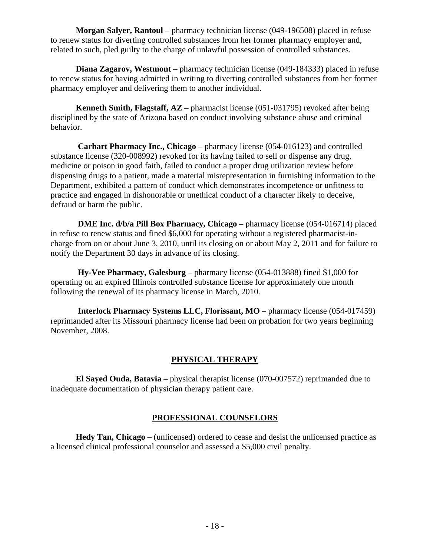**Morgan Salyer, Rantoul** – pharmacy technician license (049-196508) placed in refuse to renew status for diverting controlled substances from her former pharmacy employer and, related to such, pled guilty to the charge of unlawful possession of controlled substances.

 **Diana Zagarov, Westmont** – pharmacy technician license (049-184333) placed in refuse to renew status for having admitted in writing to diverting controlled substances from her former pharmacy employer and delivering them to another individual.

 **Kenneth Smith, Flagstaff, AZ** – pharmacist license (051-031795) revoked after being disciplined by the state of Arizona based on conduct involving substance abuse and criminal behavior.

 **Carhart Pharmacy Inc., Chicago** – pharmacy license (054-016123) and controlled substance license (320-008992) revoked for its having failed to sell or dispense any drug, medicine or poison in good faith, failed to conduct a proper drug utilization review before dispensing drugs to a patient, made a material misrepresentation in furnishing information to the Department, exhibited a pattern of conduct which demonstrates incompetence or unfitness to practice and engaged in dishonorable or unethical conduct of a character likely to deceive, defraud or harm the public.

 **DME Inc. d/b/a Pill Box Pharmacy, Chicago** – pharmacy license (054-016714) placed in refuse to renew status and fined \$6,000 for operating without a registered pharmacist-incharge from on or about June 3, 2010, until its closing on or about May 2, 2011 and for failure to notify the Department 30 days in advance of its closing.

 **Hy-Vee Pharmacy, Galesburg** – pharmacy license (054-013888) fined \$1,000 for operating on an expired Illinois controlled substance license for approximately one month following the renewal of its pharmacy license in March, 2010.

 **Interlock Pharmacy Systems LLC, Florissant, MO** – pharmacy license (054-017459) reprimanded after its Missouri pharmacy license had been on probation for two years beginning November, 2008.

# **PHYSICAL THERAPY**

 **El Sayed Ouda, Batavia** – physical therapist license (070-007572) reprimanded due to inadequate documentation of physician therapy patient care.

#### **PROFESSIONAL COUNSELORS**

 **Hedy Tan, Chicago** – (unlicensed) ordered to cease and desist the unlicensed practice as a licensed clinical professional counselor and assessed a \$5,000 civil penalty.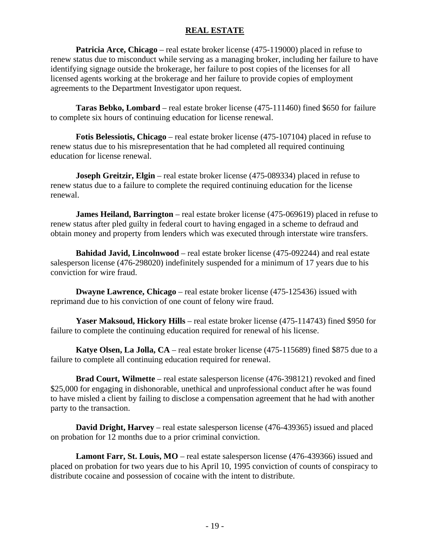#### **REAL ESTATE**

 **Patricia Arce, Chicago** – real estate broker license (475-119000) placed in refuse to renew status due to misconduct while serving as a managing broker, including her failure to have identifying signage outside the brokerage, her failure to post copies of the licenses for all licensed agents working at the brokerage and her failure to provide copies of employment agreements to the Department Investigator upon request.

 **Taras Bebko, Lombard** – real estate broker license (475-111460) fined \$650 for failure to complete six hours of continuing education for license renewal.

 **Fotis Belessiotis, Chicago** – real estate broker license (475-107104) placed in refuse to renew status due to his misrepresentation that he had completed all required continuing education for license renewal.

**Joseph Greitzir, Elgin** – real estate broker license (475-089334) placed in refuse to renew status due to a failure to complete the required continuing education for the license renewal.

 **James Heiland, Barrington** – real estate broker license (475-069619) placed in refuse to renew status after pled guilty in federal court to having engaged in a scheme to defraud and obtain money and property from lenders which was executed through interstate wire transfers.

 **Bahidad Javid, Lincolnwood** – real estate broker license (475-092244) and real estate salesperson license (476-298020) indefinitely suspended for a minimum of 17 years due to his conviction for wire fraud.

 **Dwayne Lawrence, Chicago** – real estate broker license (475-125436) issued with reprimand due to his conviction of one count of felony wire fraud.

 **Yaser Maksoud, Hickory Hills** – real estate broker license (475-114743) fined \$950 for failure to complete the continuing education required for renewal of his license.

 **Katye Olsen, La Jolla, CA** – real estate broker license (475-115689) fined \$875 due to a failure to complete all continuing education required for renewal.

 **Brad Court, Wilmette** – real estate salesperson license (476-398121) revoked and fined \$25,000 for engaging in dishonorable, unethical and unprofessional conduct after he was found to have misled a client by failing to disclose a compensation agreement that he had with another party to the transaction.

**David Dright, Harvey** – real estate salesperson license (476-439365) issued and placed on probation for 12 months due to a prior criminal conviction.

**Lamont Farr, St. Louis, MO** – real estate salesperson license (476-439366) issued and placed on probation for two years due to his April 10, 1995 conviction of counts of conspiracy to distribute cocaine and possession of cocaine with the intent to distribute.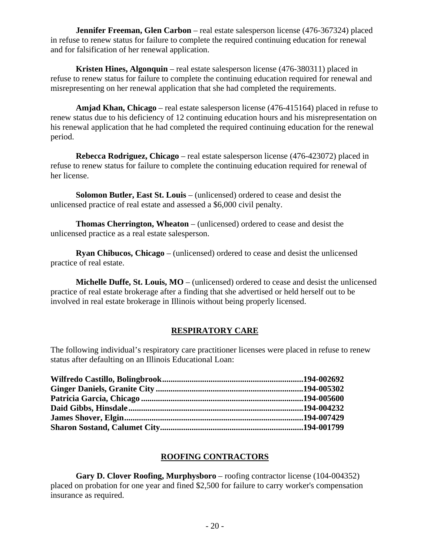**Jennifer Freeman, Glen Carbon** – real estate salesperson license (476-367324) placed in refuse to renew status for failure to complete the required continuing education for renewal and for falsification of her renewal application.

 **Kristen Hines, Algonquin** – real estate salesperson license (476-380311) placed in refuse to renew status for failure to complete the continuing education required for renewal and misrepresenting on her renewal application that she had completed the requirements.

 **Amjad Khan, Chicago** – real estate salesperson license (476-415164) placed in refuse to renew status due to his deficiency of 12 continuing education hours and his misrepresentation on his renewal application that he had completed the required continuing education for the renewal period.

 **Rebecca Rodriguez, Chicago** – real estate salesperson license (476-423072) placed in refuse to renew status for failure to complete the continuing education required for renewal of her license.

 **Solomon Butler, East St. Louis** – (unlicensed) ordered to cease and desist the unlicensed practice of real estate and assessed a \$6,000 civil penalty.

 **Thomas Cherrington, Wheaton** – (unlicensed) ordered to cease and desist the unlicensed practice as a real estate salesperson.

 **Ryan Chibucos, Chicago** – (unlicensed) ordered to cease and desist the unlicensed practice of real estate.

 **Michelle Duffe, St. Louis, MO** – (unlicensed) ordered to cease and desist the unlicensed practice of real estate brokerage after a finding that she advertised or held herself out to be involved in real estate brokerage in Illinois without being properly licensed.

# **RESPIRATORY CARE**

The following individual's respiratory care practitioner licenses were placed in refuse to renew status after defaulting on an Illinois Educational Loan:

#### **ROOFING CONTRACTORS**

 **Gary D. Clover Roofing, Murphysboro** – roofing contractor license (104-004352) placed on probation for one year and fined \$2,500 for failure to carry worker's compensation insurance as required.